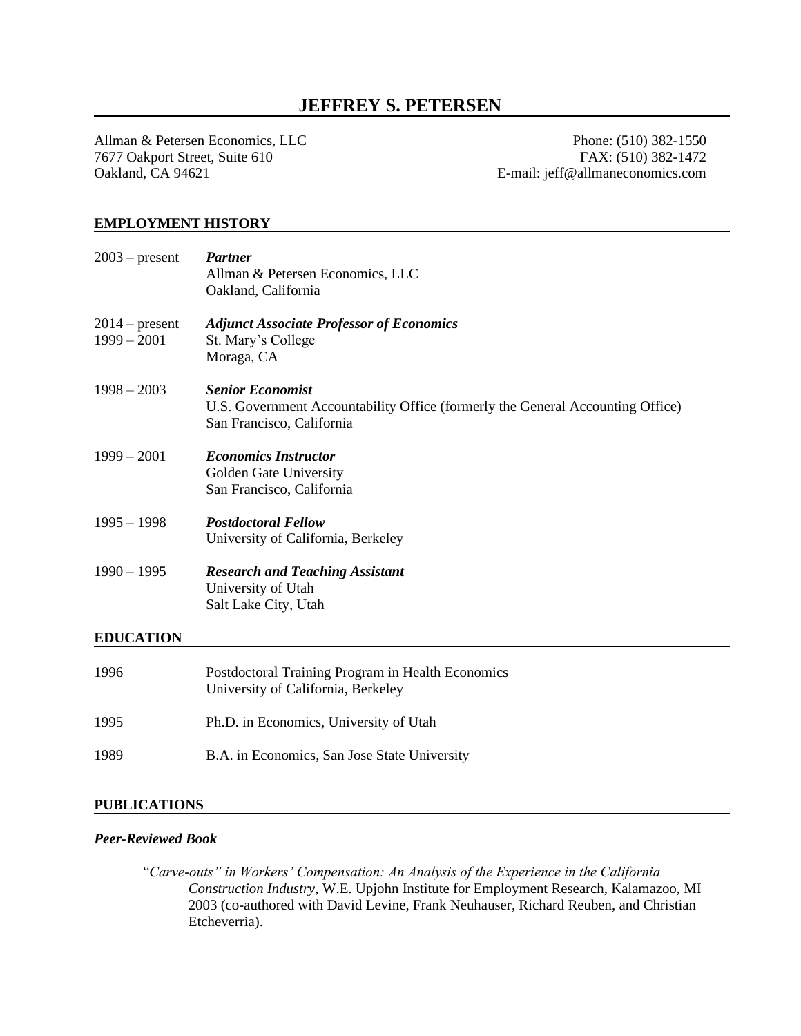# **JEFFREY S. PETERSEN**

Allman & Petersen Economics, LLC Phone: (510) 382-1550 7677 Oakport Street, Suite 610 FAX: (510) 382-1472 Oakland, CA 94621 E-mail: jeff@allmaneconomics.com

# **EMPLOYMENT HISTORY**

| $2003$ – present                  | <b>Partner</b><br>Allman & Petersen Economics, LLC<br>Oakland, California                                                              |
|-----------------------------------|----------------------------------------------------------------------------------------------------------------------------------------|
| $2014$ – present<br>$1999 - 2001$ | <b>Adjunct Associate Professor of Economics</b><br>St. Mary's College<br>Moraga, CA                                                    |
| $1998 - 2003$                     | <b>Senior Economist</b><br>U.S. Government Accountability Office (formerly the General Accounting Office)<br>San Francisco, California |
| $1999 - 2001$                     | <b>Economics Instructor</b><br>Golden Gate University<br>San Francisco, California                                                     |
| $1995 - 1998$                     | <b>Postdoctoral Fellow</b><br>University of California, Berkeley                                                                       |
| $1990 - 1995$                     | <b>Research and Teaching Assistant</b><br>University of Utah<br>Salt Lake City, Utah                                                   |
| <b>EDUCATION</b>                  |                                                                                                                                        |
| 1996                              | Postdoctoral Training Program in Health Economics<br>University of California, Berkeley                                                |
| 1995                              | Ph.D. in Economics, University of Utah                                                                                                 |
| 1989                              | B.A. in Economics, San Jose State University                                                                                           |

# **PUBLICATIONS**

#### *Peer-Reviewed Book*

*"Carve-outs" in Workers' Compensation: An Analysis of the Experience in the California Construction Industry,* W.E. Upjohn Institute for Employment Research, Kalamazoo, MI 2003 (co-authored with David Levine, Frank Neuhauser, Richard Reuben, and Christian Etcheverria).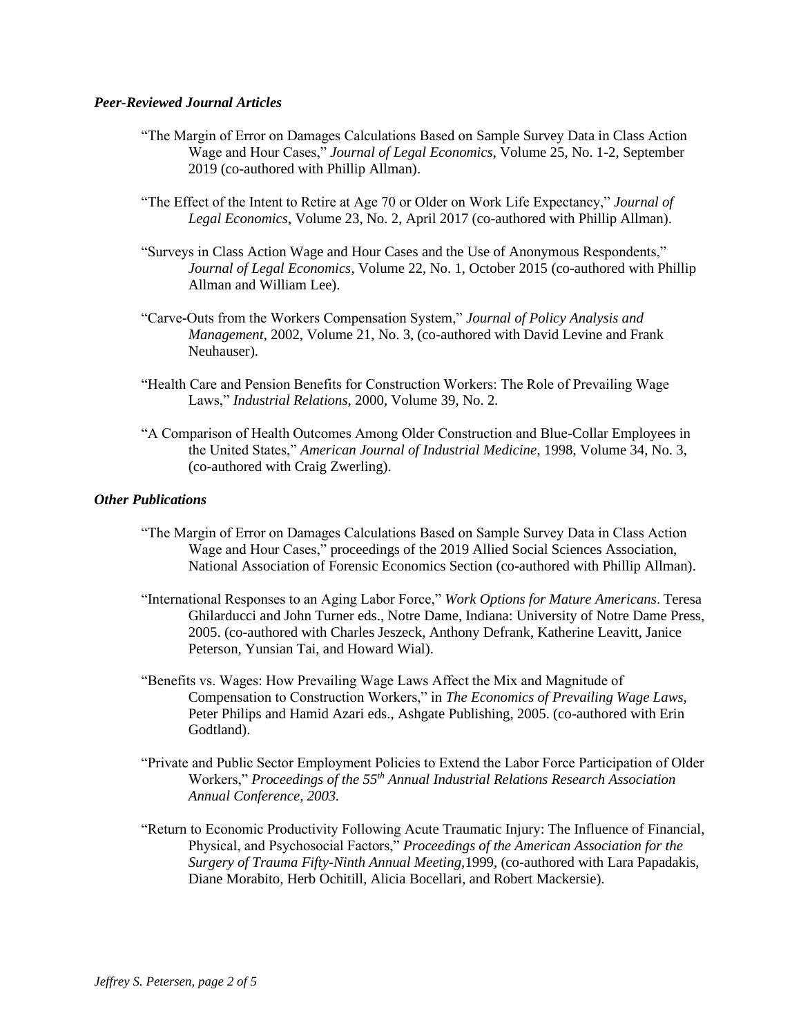#### *Peer-Reviewed Journal Articles*

- "The Margin of Error on Damages Calculations Based on Sample Survey Data in Class Action Wage and Hour Cases," *Journal of Legal Economics*, Volume 25, No. 1-2, September 2019 (co-authored with Phillip Allman).
- "The Effect of the Intent to Retire at Age 70 or Older on Work Life Expectancy," *Journal of Legal Economics*, Volume 23, No. 2, April 2017 (co-authored with Phillip Allman).
- "Surveys in Class Action Wage and Hour Cases and the Use of Anonymous Respondents," *Journal of Legal Economics*, Volume 22, No. 1, October 2015 (co-authored with Phillip Allman and William Lee).
- "Carve-Outs from the Workers Compensation System," *Journal of Policy Analysis and Management*, 2002, Volume 21, No. 3, (co-authored with David Levine and Frank Neuhauser).
- "Health Care and Pension Benefits for Construction Workers: The Role of Prevailing Wage Laws," *Industrial Relations*, 2000, Volume 39, No. 2.
- "A Comparison of Health Outcomes Among Older Construction and Blue-Collar Employees in the United States," *American Journal of Industrial Medicine*, 1998, Volume 34, No. 3, (co-authored with Craig Zwerling).

# *Other Publications*

- "The Margin of Error on Damages Calculations Based on Sample Survey Data in Class Action Wage and Hour Cases," proceedings of the 2019 Allied Social Sciences Association, National Association of Forensic Economics Section (co-authored with Phillip Allman).
- "International Responses to an Aging Labor Force," *Work Options for Mature Americans*. Teresa Ghilarducci and John Turner eds., Notre Dame, Indiana: University of Notre Dame Press, 2005. (co-authored with Charles Jeszeck, Anthony Defrank, Katherine Leavitt, Janice Peterson, Yunsian Tai, and Howard Wial).
- "Benefits vs. Wages: How Prevailing Wage Laws Affect the Mix and Magnitude of Compensation to Construction Workers," in *The Economics of Prevailing Wage Laws,* Peter Philips and Hamid Azari eds., Ashgate Publishing, 2005. (co-authored with Erin Godtland).
- "Private and Public Sector Employment Policies to Extend the Labor Force Participation of Older Workers," *Proceedings of the 55th Annual Industrial Relations Research Association Annual Conference, 2003.*
- "Return to Economic Productivity Following Acute Traumatic Injury: The Influence of Financial, Physical, and Psychosocial Factors," *Proceedings of the American Association for the Surgery of Trauma Fifty-Ninth Annual Meeting,*1999, (co-authored with Lara Papadakis, Diane Morabito, Herb Ochitill, Alicia Bocellari, and Robert Mackersie)*.*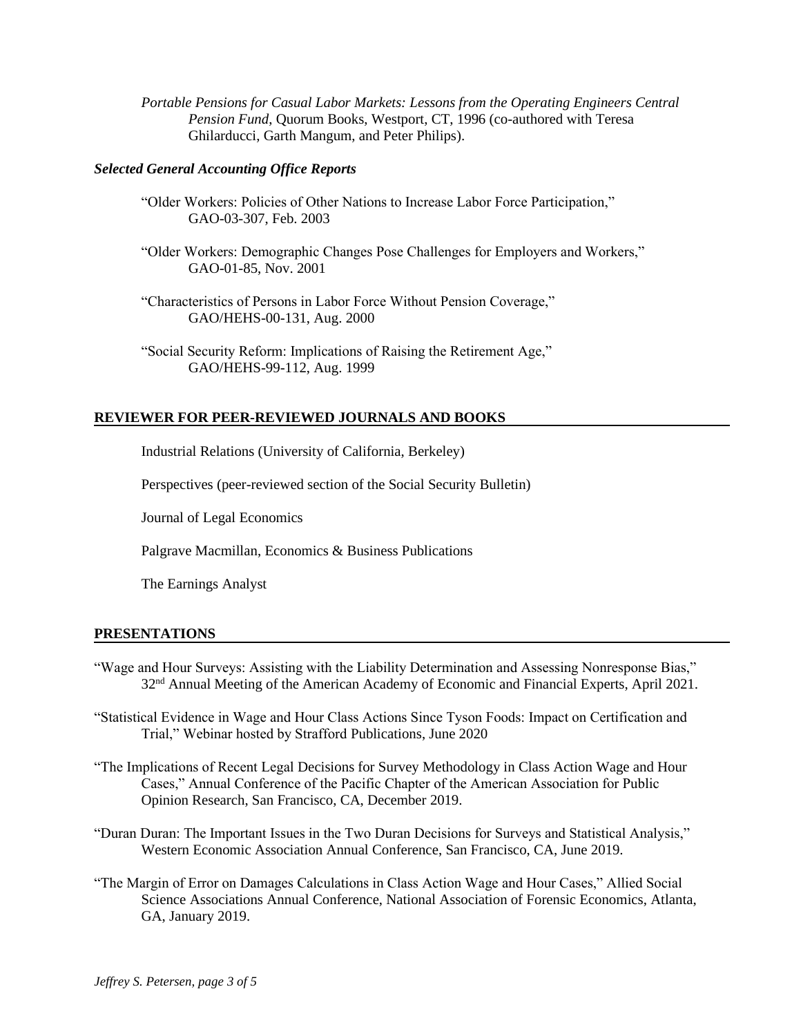*Portable Pensions for Casual Labor Markets: Lessons from the Operating Engineers Central Pension Fund*, Quorum Books, Westport, CT, 1996 (co-authored with Teresa Ghilarducci, Garth Mangum, and Peter Philips).

#### *Selected General Accounting Office Reports*

- "Older Workers: Policies of Other Nations to Increase Labor Force Participation," GAO-03-307, Feb. 2003
- "Older Workers: Demographic Changes Pose Challenges for Employers and Workers," GAO-01-85, Nov. 2001
- "Characteristics of Persons in Labor Force Without Pension Coverage," GAO/HEHS-00-131, Aug. 2000
- "Social Security Reform: Implications of Raising the Retirement Age," GAO/HEHS-99-112, Aug. 1999

# **REVIEWER FOR PEER-REVIEWED JOURNALS AND BOOKS**

Industrial Relations (University of California, Berkeley)

Perspectives (peer-reviewed section of the Social Security Bulletin)

Journal of Legal Economics

Palgrave Macmillan, Economics & Business Publications

The Earnings Analyst

#### **PRESENTATIONS**

- "Wage and Hour Surveys: Assisting with the Liability Determination and Assessing Nonresponse Bias," 32<sup>nd</sup> Annual Meeting of the American Academy of Economic and Financial Experts, April 2021.
- "Statistical Evidence in Wage and Hour Class Actions Since Tyson Foods: Impact on Certification and Trial," Webinar hosted by Strafford Publications, June 2020
- "The Implications of Recent Legal Decisions for Survey Methodology in Class Action Wage and Hour Cases," Annual Conference of the Pacific Chapter of the American Association for Public Opinion Research, San Francisco, CA, December 2019.
- "Duran Duran: The Important Issues in the Two Duran Decisions for Surveys and Statistical Analysis," Western Economic Association Annual Conference, San Francisco, CA, June 2019.
- "The Margin of Error on Damages Calculations in Class Action Wage and Hour Cases," Allied Social Science Associations Annual Conference, National Association of Forensic Economics, Atlanta, GA, January 2019.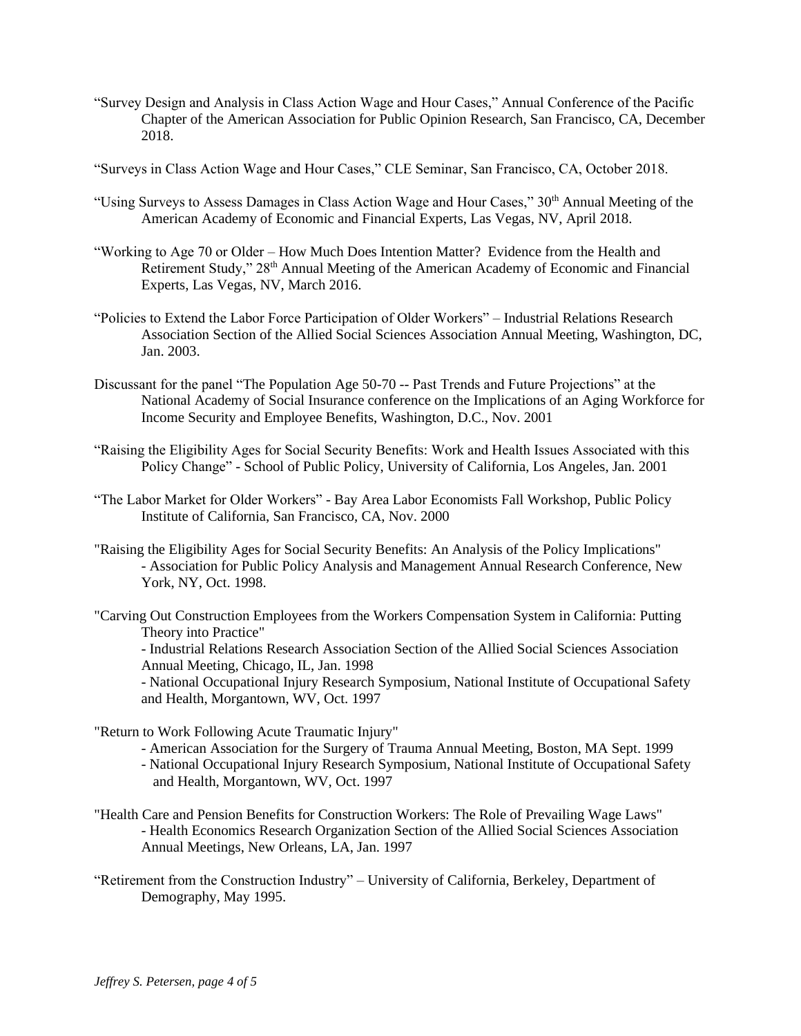"Survey Design and Analysis in Class Action Wage and Hour Cases," Annual Conference of the Pacific Chapter of the American Association for Public Opinion Research, San Francisco, CA, December 2018.

"Surveys in Class Action Wage and Hour Cases," CLE Seminar, San Francisco, CA, October 2018.

- "Using Surveys to Assess Damages in Class Action Wage and Hour Cases," 30<sup>th</sup> Annual Meeting of the American Academy of Economic and Financial Experts, Las Vegas, NV, April 2018.
- "Working to Age 70 or Older How Much Does Intention Matter? Evidence from the Health and Retirement Study," 28<sup>th</sup> Annual Meeting of the American Academy of Economic and Financial Experts, Las Vegas, NV, March 2016.
- "Policies to Extend the Labor Force Participation of Older Workers" Industrial Relations Research Association Section of the Allied Social Sciences Association Annual Meeting, Washington, DC, Jan. 2003.
- Discussant for the panel "The Population Age 50-70 -- Past Trends and Future Projections" at the National Academy of Social Insurance conference on the Implications of an Aging Workforce for Income Security and Employee Benefits, Washington, D.C., Nov. 2001
- "Raising the Eligibility Ages for Social Security Benefits: Work and Health Issues Associated with this Policy Change" - School of Public Policy, University of California, Los Angeles, Jan. 2001
- "The Labor Market for Older Workers" Bay Area Labor Economists Fall Workshop, Public Policy Institute of California, San Francisco, CA, Nov. 2000
- "Raising the Eligibility Ages for Social Security Benefits: An Analysis of the Policy Implications" - Association for Public Policy Analysis and Management Annual Research Conference, New York, NY, Oct. 1998.
- "Carving Out Construction Employees from the Workers Compensation System in California: Putting Theory into Practice"

- Industrial Relations Research Association Section of the Allied Social Sciences Association Annual Meeting, Chicago, IL, Jan. 1998

- National Occupational Injury Research Symposium, National Institute of Occupational Safety and Health, Morgantown, WV, Oct. 1997

"Return to Work Following Acute Traumatic Injury"

- American Association for the Surgery of Trauma Annual Meeting, Boston, MA Sept. 1999
- National Occupational Injury Research Symposium, National Institute of Occupational Safety and Health, Morgantown, WV, Oct. 1997
- "Health Care and Pension Benefits for Construction Workers: The Role of Prevailing Wage Laws" - Health Economics Research Organization Section of the Allied Social Sciences Association Annual Meetings, New Orleans, LA, Jan. 1997
- "Retirement from the Construction Industry" University of California, Berkeley, Department of Demography, May 1995.